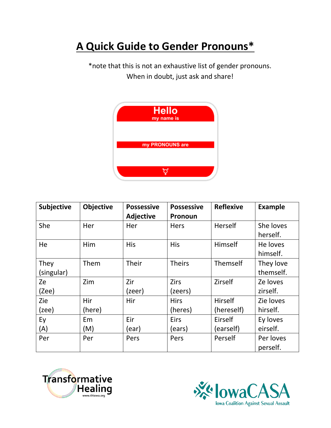# **A Quick Guide to Gender Pronouns\***

\*note that this is not an exhaustive list of gender pronouns. When in doubt, just ask and share!



| Subjective | <b>Objective</b> | <b>Possessive</b> | <b>Possessive</b> | <b>Reflexive</b> | <b>Example</b> |
|------------|------------------|-------------------|-------------------|------------------|----------------|
|            |                  | <b>Adjective</b>  | Pronoun           |                  |                |
| She        | Her              | Her               | <b>Hers</b>       | <b>Herself</b>   | She loves      |
|            |                  |                   |                   |                  | herself.       |
| He         | Him              | <b>His</b>        | <b>His</b>        | Himself          | He loves       |
|            |                  |                   |                   |                  | himself.       |
| They       | Them             | Their             | <b>Theirs</b>     | Themself         | They love      |
| (singular) |                  |                   |                   |                  | themself.      |
| Ze         | Zim              | Zir               | <b>Zirs</b>       | Zirself          | Ze loves       |
| (2ee)      |                  | (zeer)            | (zeers)           |                  | zirself.       |
| Zie        | Hir              | Hir               | <b>Hirs</b>       | Hirself          | Zie loves      |
| (zee)      | (here)           |                   | (heres)           | (hereself)       | hirself.       |
| Ey         | Em               | Eir               | Eirs              | Eirself          | Ey loves       |
| (A)        | (M)              | (ear)             | (ears)            | (earself)        | eirself.       |
| Per        | Per              | Pers              | Pers              | Perself          | Per loves      |
|            |                  |                   |                   |                  | perself.       |



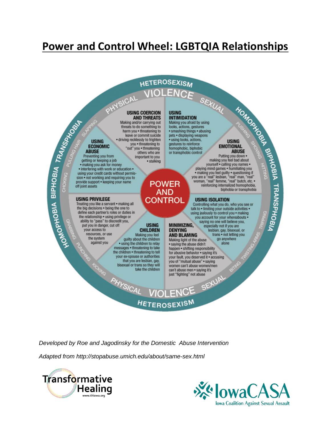## **Power and Control Wheel: LGBTQIA Relationships**

#### **HETEROSEXISM** SEXISM<br>ENCE SEXUAL **Example 1991**<br>
A CONSIDER THE SURVEY OF THE SURVEY OF THE SURVEY OF THE SURVEY OF THE SURVEY OF THE SURVEY OF THE SURVEY OF THE SURVEY OF THE SURVEY OF THE SURVEY OF THE SURVEY OF THE SURVEY OF THE SURVEY OF THE SURVEY OF PHYSICAL **USING COERCION HOMOPHOBIA BIPHOBIA TRANSALES INTIMIDATION AND THREATS** Making and/or carrying out Making you afraid by using threats to do something to looks, actions, gestures harm you . threatening to · smashing things · abusing leave or commit suicide pets . displaying weapons · driving recklessly to frighten · using looks, actions, **USING USING** you . threatening to gestures to reinforce **EMOTIONAL ECONOMIC** "out" you . threatening homophobic, biphobic **ABUSE** others who are or transphobic control Putting you down . Preventing you from important to you getting or keeping a job<br>• making you ask for money · stalking yourself • calling you names<br>• playing mind games • humiliating you · interfering with work or education · • making you feel guilty • questioning if<br>you are a "real" lesbian, "real" man, "real" using your credit cards without permission . not working and requiring you to woman, "real" femme, "real" butch, etc. . provide support . keeping your name **POWER** reinforcing internalized homophobia, off joint assets biphobia or transphobia AND **USING PRIVILEGE** CONTROL **USING ISOLATION** Controlling what you do, who you see or<br>talk to  $\bullet$  limiting your outside activities  $\bullet$ Treating you like a servant . making all the big decisions . being the one to define each partner's roles or duties in using jealously to control you . making the relationship . using privilege or you account for your whereabouts . ability to "pass" to discredit you, saying no one will believe you, put you in danger, cut off **USING** MINIMIZING, especially not if you are your access to **CHILDREN DENYING** lesbian, gay, bisexual, or resources, or use trans . not letting you Making you feel **AND BLAMING** the system guilty about the children Making light of the abuse go anywhere against you . using the children to relay alone · saying the abuse didn't messages . threatening to take happen . shifting responsibility the children . threatening to tell for abusive behavior . saying it's your fault, you deserved it . accusing<br>you of "mutual abuse" . saying your ex-spouse or authorities that you are lesbian, gay, that you are les

*Developed by Roe and Jagodinsky for the Domestic Abuse Intervention* 

bisexual or trans so they will

take the children

HETEROSEXISM

*Adapted from http://stopabuse.umich.edu/about/same-sex.html*





BITTER

women can't abuse women/men can't abuse men . saying it's

TEROSEXISM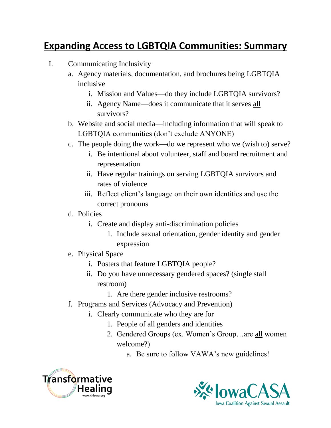### **Expanding Access to LGBTQIA Communities: Summary**

- I. Communicating Inclusivity
	- a. Agency materials, documentation, and brochures being LGBTQIA inclusive
		- i. Mission and Values—do they include LGBTQIA survivors?
		- ii. Agency Name—does it communicate that it serves all survivors?
	- b. Website and social media—including information that will speak to LGBTQIA communities (don't exclude ANYONE)
	- c. The people doing the work—do we represent who we (wish to) serve?
		- i. Be intentional about volunteer, staff and board recruitment and representation
		- ii. Have regular trainings on serving LGBTQIA survivors and rates of violence
		- iii. Reflect client's language on their own identities and use the correct pronouns
	- d. Policies
		- i. Create and display anti-discrimination policies
			- 1. Include sexual orientation, gender identity and gender expression
	- e. Physical Space
		- i. Posters that feature LGBTQIA people?
		- ii. Do you have unnecessary gendered spaces? (single stall restroom)
			- 1. Are there gender inclusive restrooms?
	- f. Programs and Services (Advocacy and Prevention)
		- i. Clearly communicate who they are for
			- 1. People of all genders and identities
			- 2. Gendered Groups (ex. Women's Group…are all women welcome?)
				- a. Be sure to follow VAWA's new guidelines!



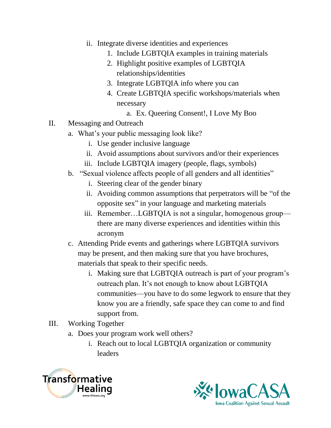- ii. Integrate diverse identities and experiences
	- 1. Include LGBTQIA examples in training materials
	- 2. Highlight positive examples of LGBTQIA relationships/identities
	- 3. Integrate LGBTQIA info where you can
	- 4. Create LGBTQIA specific workshops/materials when necessary
		- a. Ex. Queering Consent!, I Love My Boo
- II. Messaging and Outreach
	- a. What's your public messaging look like?
		- i. Use gender inclusive language
		- ii. Avoid assumptions about survivors and/or their experiences
		- iii. Include LGBTQIA imagery (people, flags, symbols)
	- b. "Sexual violence affects people of all genders and all identities"
		- i. Steering clear of the gender binary
		- ii. Avoiding common assumptions that perpetrators will be "of the opposite sex" in your language and marketing materials
		- iii. Remember…LGBTQIA is not a singular, homogenous group there are many diverse experiences and identities within this acronym
	- c. Attending Pride events and gatherings where LGBTQIA survivors may be present, and then making sure that you have brochures, materials that speak to their specific needs.
		- i. Making sure that LGBTQIA outreach is part of your program's outreach plan. It's not enough to know about LGBTQIA communities—you have to do some legwork to ensure that they know you are a friendly, safe space they can come to and find support from.
- III. Working Together
	- a. Does your program work well others?
		- i. Reach out to local LGBTQIA organization or community leaders



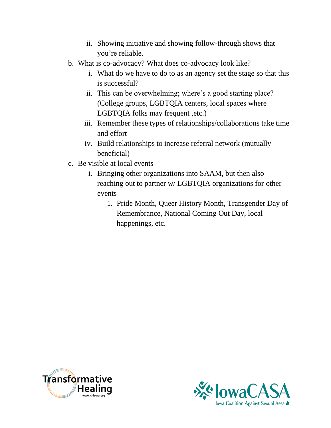- ii. Showing initiative and showing follow-through shows that you're reliable.
- b. What is co-advocacy? What does co-advocacy look like?
	- i. What do we have to do to as an agency set the stage so that this is successful?
	- ii. This can be overwhelming; where's a good starting place? (College groups, LGBTQIA centers, local spaces where LGBTQIA folks may frequent ,etc.)
	- iii. Remember these types of relationships/collaborations take time and effort
	- iv. Build relationships to increase referral network (mutually beneficial)
- c. Be visible at local events
	- i. Bringing other organizations into SAAM, but then also reaching out to partner w/ LGBTQIA organizations for other events
		- 1. Pride Month, Queer History Month, Transgender Day of Remembrance, National Coming Out Day, local happenings, etc.



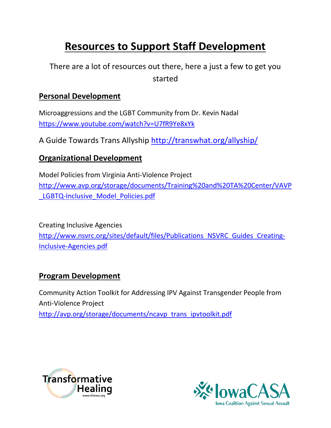# **Resources to Support Staff Development**

There are a lot of resources out there, here a just a few to get you started

### **Personal Development**

Microaggressions and the LGBT Community from Dr. Kevin Nadal <https://www.youtube.com/watch?v=U7fR9Ye8xYk>

A Guide Towards Trans Allyship<http://transwhat.org/allyship/>

### **Organizational Development**

Model Policies from Virginia Anti-Violence Project [http://www.avp.org/storage/documents/Training%20and%20TA%20Center/VAVP](http://www.avp.org/storage/documents/Training%20and%20TA%20Center/VAVP_LGBTQ-Inclusive_Model_Policies.pdf) LGBTQ-Inclusive Model Policies.pdf

Creating Inclusive Agencies [http://www.nsvrc.org/sites/default/files/Publications\\_NSVRC\\_Guides\\_Creating-](http://www.nsvrc.org/sites/default/files/Publications_NSVRC_Guides_Creating-Inclusive-Agencies.pdf)[Inclusive-Agencies.pdf](http://www.nsvrc.org/sites/default/files/Publications_NSVRC_Guides_Creating-Inclusive-Agencies.pdf)

### **Program Development**

Community Action Toolkit for Addressing IPV Against Transgender People from Anti-Violence Project [http://avp.org/storage/documents/ncavp\\_trans\\_ipvtoolkit.pdf](http://avp.org/storage/documents/ncavp_trans_ipvtoolkit.pdf)